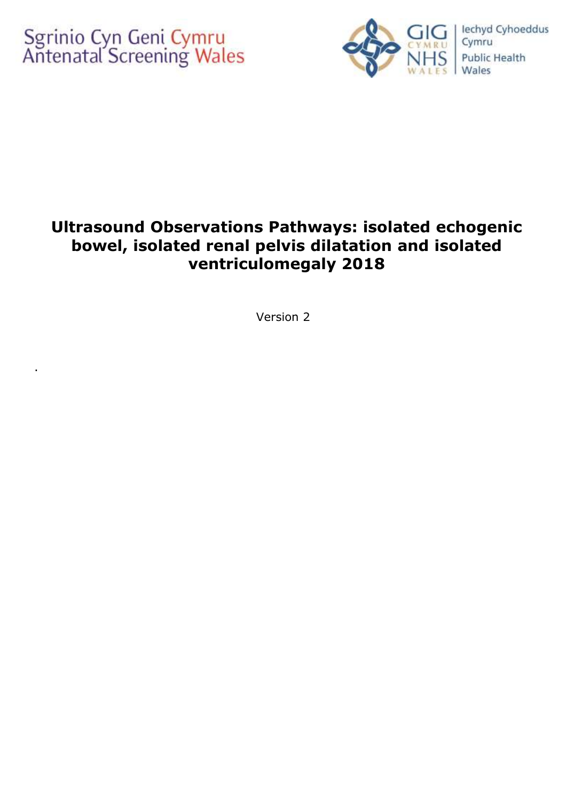.



# **Ultrasound Observations Pathways: isolated echogenic bowel, isolated renal pelvis dilatation and isolated ventriculomegaly 2018**

Version 2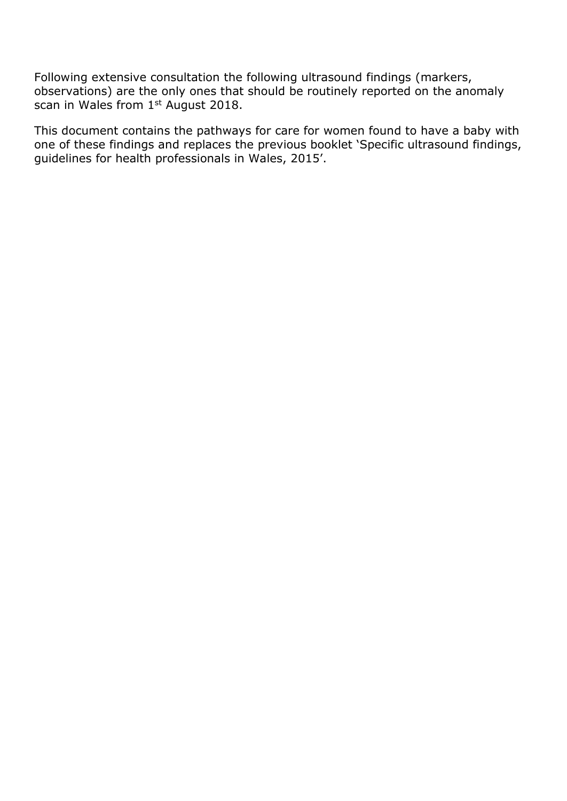Following extensive consultation the following ultrasound findings (markers, observations) are the only ones that should be routinely reported on the anomaly scan in Wales from 1st August 2018.

This document contains the pathways for care for women found to have a baby with one of these findings and replaces the previous booklet 'Specific ultrasound findings, guidelines for health professionals in Wales, 2015'.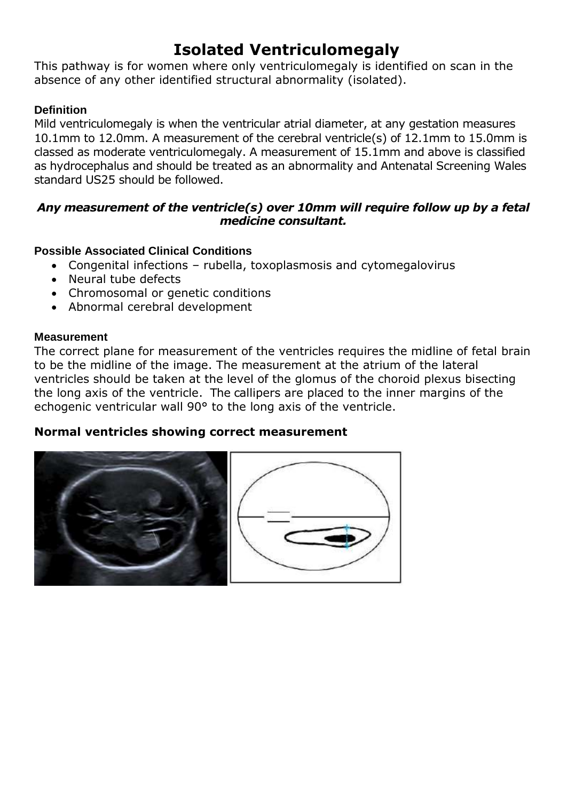# **Isolated Ventriculomegaly**

This pathway is for women where only ventriculomegaly is identified on scan in the absence of any other identified structural abnormality (isolated).

### **Definition**

Mild ventriculomegaly is when the ventricular atrial diameter, at any gestation measures 10.1mm to 12.0mm. A measurement of the cerebral ventricle(s) of 12.1mm to 15.0mm is classed as moderate ventriculomegaly. A measurement of 15.1mm and above is classified as hydrocephalus and should be treated as an abnormality and Antenatal Screening Wales standard US25 should be followed.

#### *Any measurement of the ventricle(s) over 10mm will require follow up by a fetal medicine consultant.*

#### **Possible Associated Clinical Conditions**

- Congenital infections rubella, toxoplasmosis and cytomegalovirus
- Neural tube defects
- Chromosomal or genetic conditions
- Abnormal cerebral development

#### **Measurement**

The correct plane for measurement of the ventricles requires the midline of fetal brain to be the midline of the image. The measurement at the atrium of the lateral ventricles should be taken at the level of the glomus of the choroid plexus bisecting the long axis of the ventricle. The callipers are placed to the inner margins of the echogenic ventricular wall 90° to the long axis of the ventricle.

## **Normal ventricles showing correct measurement**



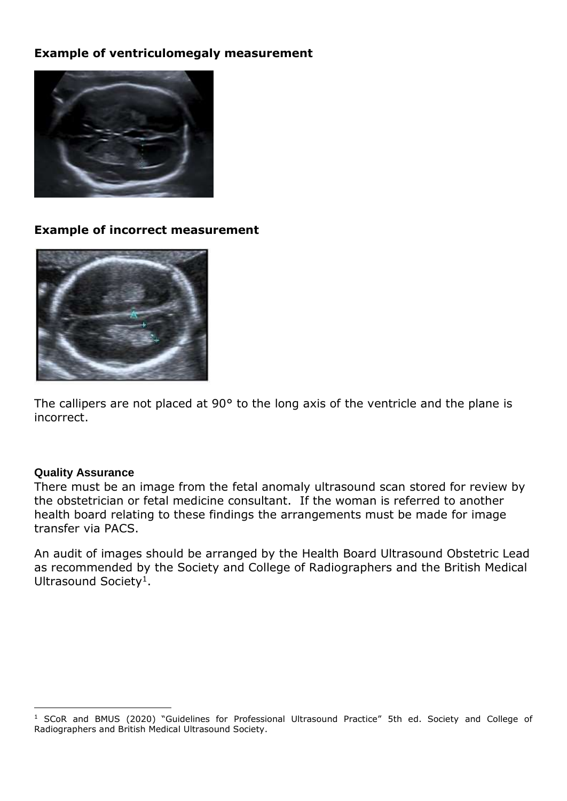## **Example of ventriculomegaly measurement**



#### **Example of incorrect measurement**



The callipers are not placed at 90° to the long axis of the ventricle and the plane is incorrect.

#### **Quality Assurance**

-

There must be an image from the fetal anomaly ultrasound scan stored for review by the obstetrician or fetal medicine consultant. If the woman is referred to another health board relating to these findings the arrangements must be made for image transfer via PACS.

An audit of images should be arranged by the Health Board Ultrasound Obstetric Lead as recommended by the Society and College of Radiographers and the British Medical Ultrasound Society<sup>1</sup>.

<sup>&</sup>lt;sup>1</sup> SCoR and BMUS (2020) "Guidelines for Professional Ultrasound Practice" 5th ed. Society and College of Radiographers and British Medical Ultrasound Society.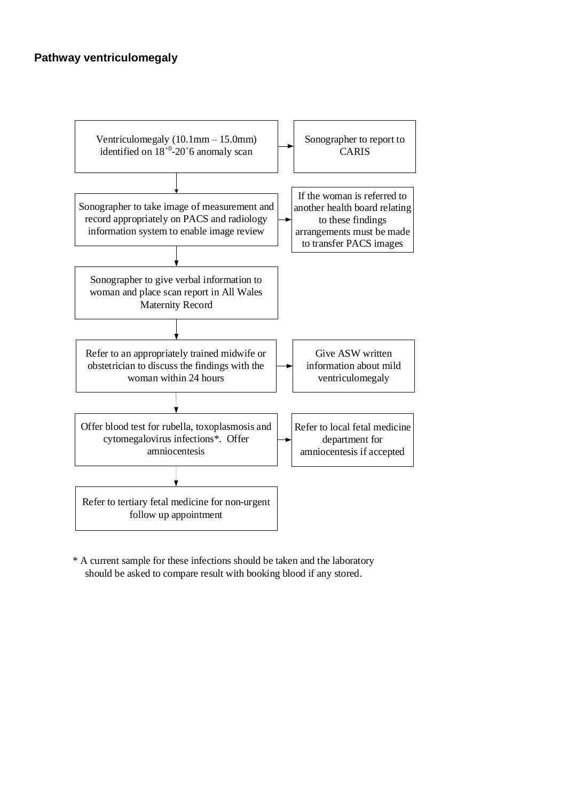#### **Pathway ventriculomegaly**



\* A current sample for these infections should be taken and the laboratory should be asked to compare result with booking blood if any stored.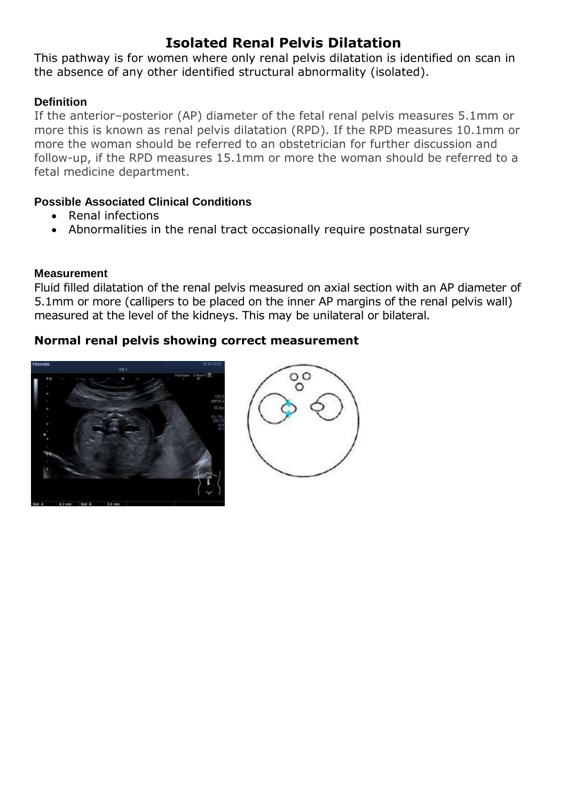## **Isolated Renal Pelvis Dilatation**

This pathway is for women where only renal pelvis dilatation is identified on scan in the absence of any other identified structural abnormality (isolated).

### **Definition**

If the anterior–posterior (AP) diameter of the fetal renal pelvis measures 5.1mm or more this is known as renal pelvis dilatation (RPD). If the RPD measures 10.1mm or more the woman should be referred to an obstetrician for further discussion and follow-up, if the RPD measures 15.1mm or more the woman should be referred to a fetal medicine department.

#### **Possible Associated Clinical Conditions**

- Renal infections
- Abnormalities in the renal tract occasionally require postnatal surgery

### **Measurement**

Fluid filled dilatation of the renal pelvis measured on axial section with an AP diameter of 5.1mm or more (callipers to be placed on the inner AP margins of the renal pelvis wall) measured at the level of the kidneys. This may be unilateral or bilateral.

## **Normal renal pelvis showing correct measurement**



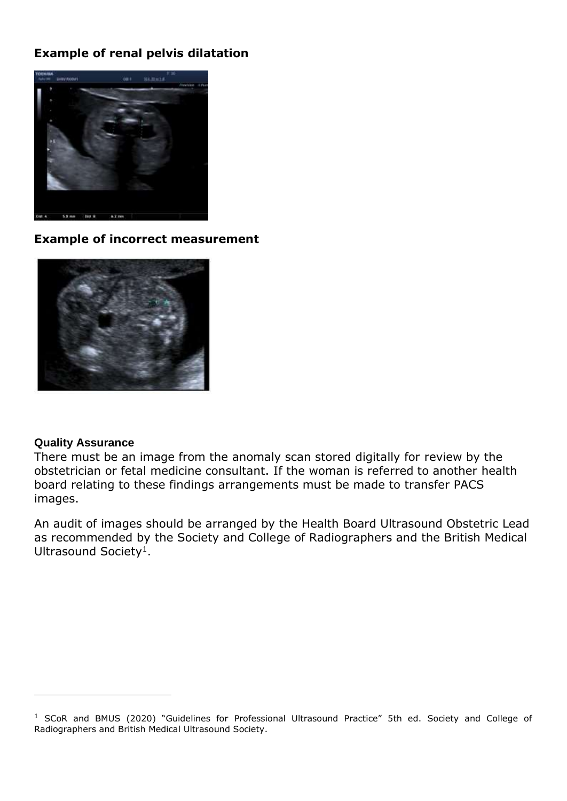## **Example of renal pelvis dilatation**



#### **Example of incorrect measurement**



#### **Quality Assurance**

-

There must be an image from the anomaly scan stored digitally for review by the obstetrician or fetal medicine consultant. If the woman is referred to another health board relating to these findings arrangements must be made to transfer PACS images.

An audit of images should be arranged by the Health Board Ultrasound Obstetric Lead as recommended by the Society and College of Radiographers and the British Medical Ultrasound Society<sup>1</sup>.

<sup>&</sup>lt;sup>1</sup> SCoR and BMUS (2020) "Guidelines for Professional Ultrasound Practice" 5th ed. Society and College of Radiographers and British Medical Ultrasound Society.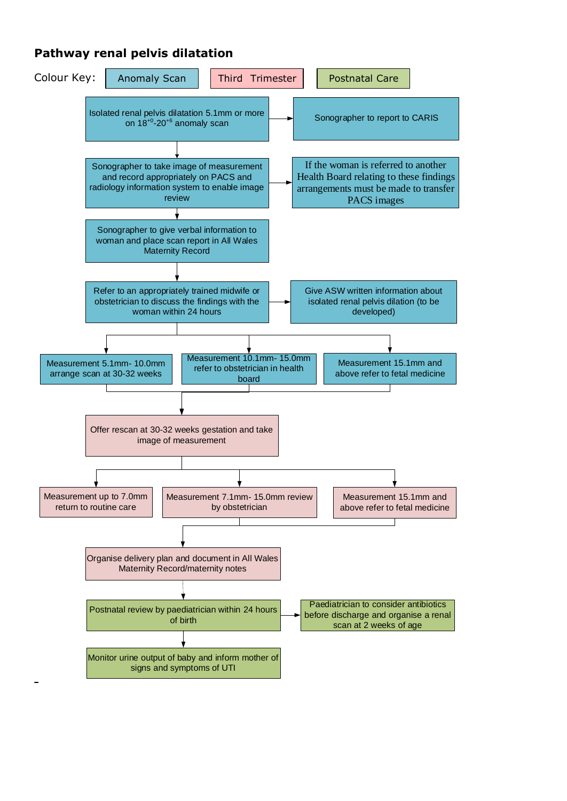## **Pathway renal pelvis dilatation**

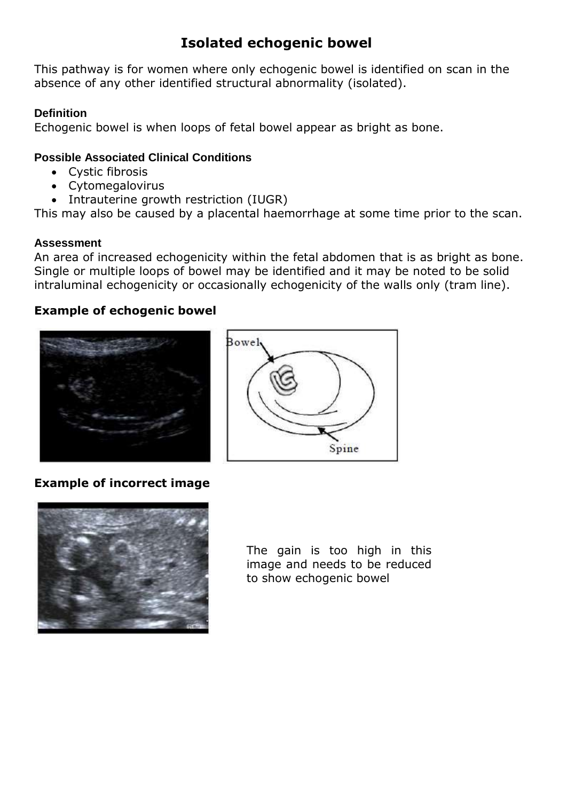## **Isolated echogenic bowel**

This pathway is for women where only echogenic bowel is identified on scan in the absence of any other identified structural abnormality (isolated).

### **Definition**

Echogenic bowel is when loops of fetal bowel appear as bright as bone.

### **Possible Associated Clinical Conditions**

- Cystic fibrosis
- Cytomegalovirus
- Intrauterine growth restriction (IUGR)

This may also be caused by a placental haemorrhage at some time prior to the scan.

#### **Assessment**

An area of increased echogenicity within the fetal abdomen that is as bright as bone. Single or multiple loops of bowel may be identified and it may be noted to be solid intraluminal echogenicity or occasionally echogenicity of the walls only (tram line).

## **Example of echogenic bowel**





## **Example of incorrect image**



The gain is too high in this image and needs to be reduced to show echogenic bowel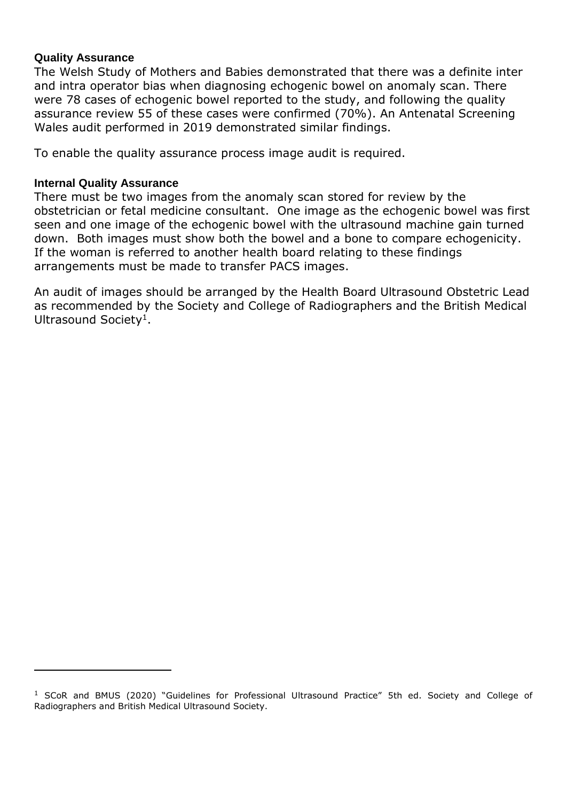#### **Quality Assurance**

The Welsh Study of Mothers and Babies demonstrated that there was a definite inter and intra operator bias when diagnosing echogenic bowel on anomaly scan. There were 78 cases of echogenic bowel reported to the study, and following the quality assurance review 55 of these cases were confirmed (70%). An Antenatal Screening Wales audit performed in 2019 demonstrated similar findings.

To enable the quality assurance process image audit is required.

#### **Internal Quality Assurance**

-

There must be two images from the anomaly scan stored for review by the obstetrician or fetal medicine consultant. One image as the echogenic bowel was first seen and one image of the echogenic bowel with the ultrasound machine gain turned down. Both images must show both the bowel and a bone to compare echogenicity. If the woman is referred to another health board relating to these findings arrangements must be made to transfer PACS images.

An audit of images should be arranged by the Health Board Ultrasound Obstetric Lead as recommended by the Society and College of Radiographers and the British Medical Ultrasound Society<sup>1</sup>.

<sup>&</sup>lt;sup>1</sup> SCoR and BMUS (2020) "Guidelines for Professional Ultrasound Practice" 5th ed. Society and College of Radiographers and British Medical Ultrasound Society.